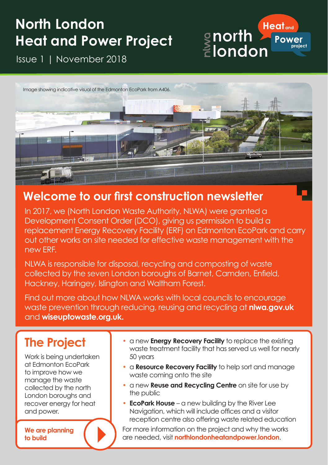# **North London Heat and Power Project**

Issue 1 | November 2018



#### **Welcome to our first construction newsletter**

In 2017, we (North London Waste Authority, NLWA) were granted a Development Consent Order (DCO), giving us permission to build a replacement Energy Recovery Facility (ERF) on Edmonton EcoPark and carry out other works on site needed for effective waste management with the new ERF.

NLWA is responsible for disposal, recycling and composting of waste collected by the seven London boroughs of Barnet, Camden, Enfield, Hackney, Haringey, Islington and Waltham Forest.

Find out more about how NLWA works with local councils to encourage waste prevention through reducing, reusing and recycling at **nlwa.gov.uk**  and **wiseuptowaste.org.uk.**

## **The Project**

Work is being undertaken at Edmonton EcoPark to improve how we manage the waste collected by the north London boroughs and recover energy for heat and power.

**We are planning to build**

• a new **Energy Recovery Facility** to replace the existing waste treatment facility that has served us well for nearly 50 years

**Heat**<sub>and</sub>

**Power Project** 

gnorth ∑<br>∄london

- a **Resource Recovery Facility** to help sort and manage waste coming onto the site
- a new **Reuse and Recycling Centre** on site for use by the public
- **EcoPark House** a new building by the River Lee Navigation, which will include offices and a visitor reception centre also offering waste related education

For more information on the project and why the works are needed, visit **northlondonheatandpower.london**.